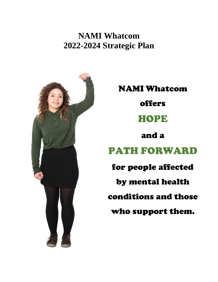**NAMI Whatcom 2022-2024 Strategic Plan** 



NAMI Whatcom

offers

# HOPE

and a

# PATH FORWARD

for people affected by mental health conditions and those who support them.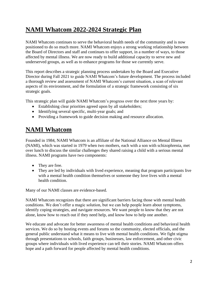# **NAMI Whatcom 2022-2024 Strategic Plan**

NAMI Whatcom continues to serve the behavioral health needs of the community and is now positioned to do so much more. NAMI Whatcom enjoys a strong working relationship between the Board of Directors and staff and continues to offer support, in a number of ways, to those affected by mental illness. We are now ready to build additional capacity to serve new and underserved groups, as well as to enhance programs for those we currently serve.

This report describes a strategic planning process undertaken by the Board and Executive Director during Fall 2021 to guide NAMI Whatcom's future development. The process included a thorough review and assessment of NAMI Whatcom's current situation, a scan of relevant aspects of its environment, and the formulation of a strategic framework consisting of six strategic goals.

This strategic plan will guide NAMI Whatcom's progress over the next three years by:

- Establishing clear priorities agreed upon by all stakeholders;
- Identifying several specific, multi-year goals; and
- Providing a framework to guide decision making and resource allocation.

# **NAMI Whatcom**

Founded in 1984, NAMI Whatcom is an affiliate of the National Alliance on Mental Illness (NAMI), which was started in 1979 when two mothers, each with a son with schizophrenia, met over lunch to discuss the similar challenges they shared raising a child with a serious mental illness. NAMI programs have two components:

- They are free.
- They are led by individuals with lived experience, meaning that program participants live with a mental health condition themselves or someone they love lives with a mental health condition.

Many of our NAMI classes are evidence-based.

NAMI Whatcom recognizes that there are significant barriers facing those with mental health conditions. We don't offer a magic solution, but we can help people learn about symptoms, identify coping strategies, and navigate resources. We want people to know that they are not alone, know how to reach out if they need help, and know how to help one another.

We educate and advocate for better awareness of mental health conditions and behavioral health services. We do so by hosting events and forums so the community, elected officials, and the general public understand what it means to live with mental health conditions. We fight stigma through presentations to schools, faith groups, businesses, law enforcement, and other civic groups where individuals with lived experience can tell their stories. NAMI Whatcom offers hope and a path forward for people affected by mental health conditions.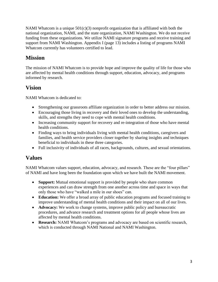NAMI Whatcom is a unique  $501(c)(3)$  nonprofit organization that is affiliated with both the national organization, NAMI, and the state organization, NAMI Washington. We do not receive funding from these organizations. We utilize NAMI signature programs and receive training and support from NAMI Washington. Appendix I (page 13) includes a listing of programs NAMI Whatcom currently has volunteers certified to lead.

### **Mission**

The mission of NAMI Whatcom is to provide hope and improve the quality of life for those who are affected by mental health conditions through support, education, advocacy, and programs informed by research.

#### **Vision**

NAMI Whatcom is dedicated to:

- Strengthening our grassroots affiliate organization in order to better address our mission.
- Encouraging those living in recovery and their loved ones to develop the understanding, skills, and strengths they need to cope with mental health conditions.
- Increasing community support for recovery and re-integration of those who have mental health conditions.
- Finding ways to bring individuals living with mental health conditions, caregivers and families, and health service providers closer together by sharing insights and techniques beneficial to individuals in these three categories.
- Full inclusivity of individuals of all races, backgrounds, cultures, and sexual orientations.

#### **Values**

NAMI Whatcom values support, education, advocacy, and research. These are the "four pillars" of NAMI and have long been the foundation upon which we have built the NAMI movement.

- **Support:** Mutual emotional support is provided by people who share common experiences and can draw strength from one another across time and space in ways that only those who have "walked a mile in our shoes" can.
- **Education:** We offer a broad array of public education programs and focused training to improve understanding of mental health conditions and their impact on all of our lives.
- **Advocacy:** We work to change systems, improve public policy and bureaucratic procedures, and advance research and treatment options for all people whose lives are affected by mental health conditions.
- **Research:** NAMI Whatcom's programs and advocacy are based on scientific research, which is conducted through NAMI National and NAMI Washington.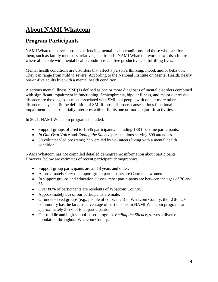# **About NAMI Whatcom**

### **Program Participants**

NAMI Whatcom serves those experiencing mental health conditions and those who care for them, such as family members, relatives, and friends. NAMI Whatcom works towards a future where all people with mental health conditions can live productive and fulfilling lives.

Mental health conditions are disorders that affect a person's thinking, mood, and/or behavior. They can range from mild to severe. According to the National Institute on Mental Health, nearly one-in-five adults live with a mental health condition.

A serious mental illness (SMI) is defined as one or more diagnoses of mental disorders combined with significant impairment in functioning. Schizophrenia, bipolar illness, and major depressive disorder are the diagnoses most associated with SMI, but people with one or more other disorders may also fit the definition of SMI if those disorders cause serious functional impairment that substantially interferes with or limits one or more major life activities.

In 2021, NAMI Whatcom programs included:

- Support groups offered to 1,545 participants, including 188 first-time participants.
- *In Our Own Voice* and *Ending the Silence* presentations serving 609 attendees.
- 39 volunteer-led programs; 23 were led by volunteers living with a mental health condition.

NAMI Whatcom has not compiled detailed demographic information about participants. However, below are estimates of recent participant demographics:

- Support group participants are all 18 years and older.
- Approximately 90% of support group participants are Caucasian women.
- In support groups and education classes, most participants are between the ages of 30 and 65.
- Over 80% of participants are residents of Whatcom County.
- Approximately 3% of our participants are male.
- Of underserved groups (e.g., people of color, men) in Whatcom County, the LGBTQ+ community has the largest percentage of participants in NAMI Whatcom programs at approximately 3-5% of total participants.
- Our middle and high school-based program, *Ending the Silence,* serves a diverse population throughout Whatcom County.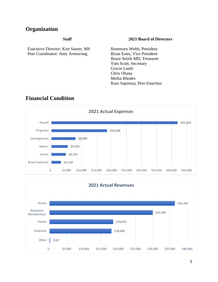#### **Organization**

Executive Director: Kim Sauter, MS Peer Coordinator: Amy Armstrong

#### **Staff 2021 Board of Directors**

Rosemary Webb, President Brian Estes, Vice President Bruce Smith MD, Treasurer Tom Scott, Secretary Gracie Lamb Chris Ohana Meika Rhodes Russ Sapienza, Peer Emeritus



#### **Financial Condition**

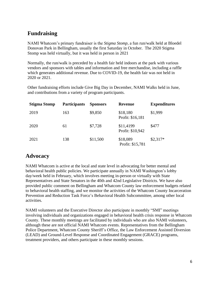#### **Fundraising**

NAMI Whatcom's primary fundraiser is the *Stigma Stomp,* a fun run/walk held at Bloedel Donovan Park in Bellingham, usually the first Saturday in October. The 2020 Stigma Stomp was held virtually, but it was held in person in 2021

Normally, the run/walk is preceded by a health fair held indoors at the park with various vendors and sponsors with tables and information and free merchandise, including a raffle which generates additional revenue. Due to COVID-19, the health fair was not held in 2020 or 2021.

Other fundraising efforts include Give Big Day in December, NAMI Walks held in June, and contributions from a variety of program participants.

| <b>Stigma Stomp</b> | <b>Participants</b> | <b>Sponsors</b> | <b>Revenue</b>                | <b>Expenditures</b> |
|---------------------|---------------------|-----------------|-------------------------------|---------------------|
| 2019                | 163                 | \$9,850         | \$18,180<br>Profit: \$16,181  | \$1,999             |
| 2020                | 61                  | \$7,728         | \$11,4199<br>Profit: \$10,942 | \$477               |
| 2021                | 138                 | \$11,500        | \$18,089<br>Profit: \$15,781  | $$2,317*$           |

### **Advocacy**

NAMI Whatcom is active at the local and state level in advocating for better mental and behavioral health public policies. We participate annually in NAMI Washington's lobby day/week held in February, which involves meeting in-person or virtually with State Representatives and State Senators in the 40th and 42nd Legislative Districts. We have also provided public comment on Bellingham and Whatcom County law enforcement budgets related to behavioral health staffing, and we monitor the activities of the Whatcom County Incarceration Prevention and Reduction Task Force's Behavioral Health Subcommittee, among other local activities.

NAMI volunteers and the Executive Director also participate in monthly "SMI" meetings involving individuals and organizations engaged in behavioral health crisis response in Whatcom County. These monthly meetings are facilitated by individuals who are also NAMI volunteers, although these are not official NAMI Whatcom events. Representatives from the Bellingham Police Department, Whatcom County Sheriff's Office, the Law Enforcement Assisted Diversion (LEAD) and Ground-Level Response and Coordinated Engagement (GRACE) programs, treatment providers, and others participate in these monthly sessions.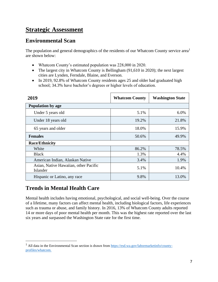# **Strategic Assessment**

#### **Environmental Scan**

The population and general demographics of the residents of our Whatcom County service area<sup>1</sup> are shown below:

- Whatcom County's estimated population was 228,000 in 2020.
- The largest city in Whatcom County is Bellingham (91,610 in 2020); the next largest cities are Lynden, Ferndale, Blaine, and Everson.
- In 2019, 92.8% of Whatcom County residents ages 25 and older had graduated high school; 34.3% have bachelor's degrees or higher levels of education.

| 2019                                              | <b>Whatcom County</b> | <b>Washington State</b> |  |  |
|---------------------------------------------------|-----------------------|-------------------------|--|--|
| Population by age                                 |                       |                         |  |  |
| Under 5 years old                                 | 5.1%                  | 6.0%                    |  |  |
| Under 18 years old                                | 19.2%                 | 21.8%                   |  |  |
| 65 years and older                                | 18.0%                 | 15.9%                   |  |  |
| <b>Females</b>                                    | 50.6%                 | 49.9%                   |  |  |
| <b>Race/Ethnicity</b>                             |                       |                         |  |  |
| White                                             | 86.2%                 | 78.5%                   |  |  |
| <b>Black</b>                                      | 1.3%                  | 4.4%                    |  |  |
| American Indian, Alaskan Native                   | 3.4%                  | 1.9%                    |  |  |
| Asian, Native Hawaiian, other Pacific<br>Islander | 5.1%                  | 10.4%                   |  |  |
| Hispanic or Latino, any race                      | 9.8%                  | 13.0%                   |  |  |

#### **Trends in Mental Health Care**

Mental health includes having emotional, psychological, and social well-being. Over the course of a lifetime, many factors can affect mental health, including biological factors, life experiences such as trauma or abuse, and family history. In 2016, 13% of Whatcom County adults reported 14 or more days of poor mental health per month. This was the highest rate reported over the last six years and surpassed the Washington State rate for the first time.

<sup>&</sup>lt;sup>1</sup> All data in the Environmental Scan section is drawn from  $\frac{https://esd.wa.gov/labormarketinfo/county$ [profiles/whatcom.](https://esd.wa.gov/labormarketinfo/county-profiles/whatcom)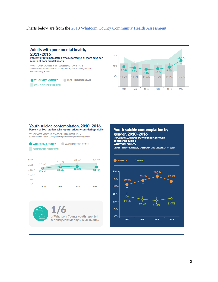#### Charts below are from the [2018 Whatcom County Community Health Assessment.](https://whatcomcounty.us/DocumentCenter/View/35972/2018-Whatcom-County-Community-Health-Assessment)



#### Youth suicide contemplation, 2010-2016 Percent of 10th graders who report seriously considering suicide

**WHATCOM COUNTY VS. WASHINGTON STATE** 

Source: Healthy Youth Survey, Washington State Department of Health







8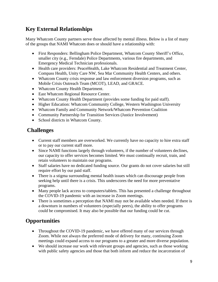### **Key External Relationships**

Many Whatcom County partners serve those affected by mental illness. Below is a list of many of the groups that NAMI Whatcom does or should have a relationship with:

- First Responders: Bellingham Police Department, Whatcom County Sheriff's Office, smaller city (e.g., Ferndale) Police Departments, various fire departments, and Emergency Medical Technician professionals.
- Health care providers: PeaceHealth, Lake Whatcom Residential and Treatment Center, Compass Health, Unity Care NW, Sea Mar Community Health Centers, and others.
- Whatcom County crisis response and law enforcement diversion programs, such as Mobile Crisis Outreach Team (MCOT), LEAD, and GRACE.
- Whatcom County Health Department.
- East Whatcom Regional Resource Center.
- Whatcom County Health Department (provides some funding for paid staff).
- Higher Education: Whatcom Community College, Western Washington University
- Whatcom Family and Community Network/Whatcom Prevention Coalition
- Community Partnership for Transition Services (Justice Involvement)
- School districts in Whatcom County.

#### **Challenges**

- Current staff members are overworked. We currently have no capacity to hire extra staff or to pay our current staff more.
- Since NAMI functions largely through volunteers, if the number of volunteers declines, our capacity to offer services becomes limited. We must continually recruit, train, and retain volunteers to maintain our programs.
- Staff salaries have no dedicated funding source. Our grants do not cover salaries but still require effort by our paid staff.
- There is a stigma surrounding mental health issues which can discourage people from seeking help until there is a crisis. This underscores the need for more preventative programs.
- Many people lack access to computers/tablets. This has presented a challenge throughout the COVID-19 pandemic with an increase in Zoom meetings.
- There is sometimes a perception that NAMI may not be available when needed. If there is a downturn in numbers of volunteers (especially peers), the ability to offer programs could be compromised. It may also be possible that our funding could be cut.

## **Opportunities**

- Throughout the COVID-19 pandemic, we have offered many of our services through Zoom. While not always the preferred mode of delivery for many, continuing Zoom meetings could expand access to our programs to a greater and more diverse population.
- We should increase our work with relevant groups and agencies, such as those working with public safety agencies and those that both inform and reduce the incarceration of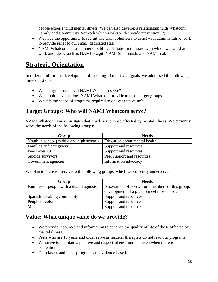people experiencing mental illness. We can also develop a relationship with Whatcom Family and Community Network which works with suicide prevention (?).

- We have the opportunity to recruit and train volunteers to assist with administrative work to provide relief to our small, dedicated staff.
- NAMI Whatcom has a number of sibling affiliates in the state with which we can share work and ideas, such as NAMI Skagit, NAMI Snohomish, and NAMI Yakima.

## **Strategic Orientation**

In order to inform the development of meaningful multi-year goals, we addressed the following three questions:

- What target groups will NAMI Whatcom serve?
- What unique value does NAMI Whatcom provide to those target groups?
- What is the scope of programs required to deliver that value?

#### **Target Groups: Who will NAMI Whatcom serve?**

NAMI Whatcom's mission states that it will serve those affected by mental illness. We currently serve the needs of the following groups:

| Group                                    | <b>Needs</b>                  |  |
|------------------------------------------|-------------------------------|--|
| Youth in school (middle and high school) | Education about mental health |  |
| Families and caregivers                  | Support and resources         |  |
| Peers over 18                            | Support and resources         |  |
| Suicide survivors                        | Peer support and resources    |  |
| Government agencies                      | Information/advocacy          |  |

We plan to increase service to the following groups, which we currently underserve:

| Group                                    | <b>Needs</b>                                    |
|------------------------------------------|-------------------------------------------------|
| Families of people with a dual diagnosis | Assessment of needs from members of this group; |
|                                          | development of a plan to meet those needs       |
| Spanish-speaking community               | Support and resources                           |
| People of color                          | Support and resources                           |
| Men                                      | Support and resources                           |

#### **Value: What unique value do we provide?**

- We provide resources and information to enhance the quality of life of those affected by mental illness.
- Peers who are 18 years and older serve as leaders; therapists do not lead our programs.
- We strive to maintain a positive and respectful environment even when there is contention.
- Our classes and other programs are evidence-based.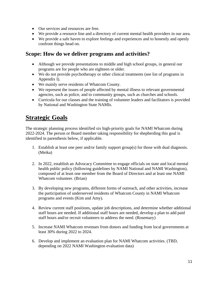- Our services and resources are free.
- We provide a resource line and a directory of current mental health providers in our area.
- We provide a safe haven to explore feelings and experiences and to honestly and openly confront things head on.

#### **Scope: How do we deliver programs and activities?**

- Although we provide presentations to middle and high school groups, in general our programs are for people who are eighteen or older.
- We do not provide psychotherapy or other clinical treatments (see list of programs in Appendix I).
- We mainly serve residents of Whatcom County.
- We represent the issues of people affected by mental illness to relevant governmental agencies, such as police, and to community groups, such as churches and schools.
- Curricula for our classes and the training of volunteer leaders and facilitators is provided by National and Washington State NAMIs.

## **Strategic Goals**

The strategic planning process identified six high-priority goals for NAMI Whatcom during 2022-2024. The person or Board member taking responsibility for shepherding this goal is identified in parenthesis below, if applicable.

- 1. Establish at least one peer and/or family support group(s) for those with dual diagnosis. (Meika)
- 2. In 2022, establish an Advocacy Committee to engage officials on state and local mental health public policy (following guidelines by NAMI National and NAMI Washington), composed of at least one member from the Board of Directors and at least one NAMI Whatcom volunteer. (Brian)
- 3. By developing new programs, different forms of outreach, and other activities, increase the participation of underserved residents of Whatcom County in NAMI Whatcom programs and events (Kim and Amy).
- 4. Review current staff positions, update job descriptions, and determine whether additional staff hours are needed. If additional staff hours are needed, develop a plan to add paid staff hours and/or recruit volunteers to address the need. (Rosemary)
- 5. Increase NAMI Whatcom revenues from donors and funding from local governments at least 30% during 2022 to 2024.
- 6. Develop and implement an evaluation plan for NAMI Whatcom activities. (TBD, depending on 2022 NAMI Washington evaluation data)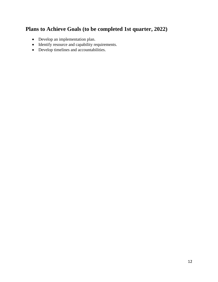### **Plans to Achieve Goals (to be completed 1st quarter, 2022)**

- Develop an implementation plan.
- Identify resource and capability requirements.
- Develop timelines and accountabilities.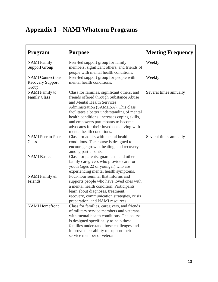# **Appendix I – NAMI Whatcom Programs**

| Program                                                     | <b>Purpose</b>                                                                                                                                                                                                                                                                                                                                                               | <b>Meeting Frequency</b> |
|-------------------------------------------------------------|------------------------------------------------------------------------------------------------------------------------------------------------------------------------------------------------------------------------------------------------------------------------------------------------------------------------------------------------------------------------------|--------------------------|
| <b>NAMI</b> Family<br><b>Support Group</b>                  | Peer-led support group for family<br>members, significant others, and friends of<br>people with mental health conditions.                                                                                                                                                                                                                                                    | Weekly                   |
| <b>NAMI</b> Connections<br><b>Recovery Support</b><br>Group | Peer-led support group for people with<br>mental health conditions.                                                                                                                                                                                                                                                                                                          | Weekly                   |
| <b>NAMI</b> Family to<br><b>Family Class</b>                | Class for families, significant others, and<br>friends offered through Substance Abuse<br>and Mental Health Services<br>Administration (SAMHSA). This class<br>facilitates a better understanding of mental<br>health conditions, increases coping skills,<br>and empowers participants to become<br>advocates for their loved ones living with<br>mental health conditions. | Several times annually   |
| <b>NAMI</b> Peer to Peer<br>Class                           | Class for adults with mental health<br>conditions. The course is designed to<br>encourage growth, healing, and recovery<br>among participants.                                                                                                                                                                                                                               | Several times annually   |
| <b>NAMI Basics</b>                                          | Class for parents, guardians. and other<br>family caregivers who provide care for<br>youth (ages 22 or younger) who are<br>experiencing mental health symptoms.                                                                                                                                                                                                              |                          |
| NAMI Family &<br>Friends                                    | Four-hour seminar that informs and<br>supports people who have loved ones with<br>a mental health condition. Participants<br>learn about diagnoses, treatment,<br>recovery, communication strategies, crisis<br>preparation, and NAMI resources.                                                                                                                             |                          |
| <b>NAMI</b> Homefront                                       | Class for families, caregivers, and friends<br>of military service members and veterans<br>with mental health conditions. The course<br>is designed specifically to help these<br>families understand those challenges and<br>improve their ability to support their<br>service member or veteran.                                                                           |                          |